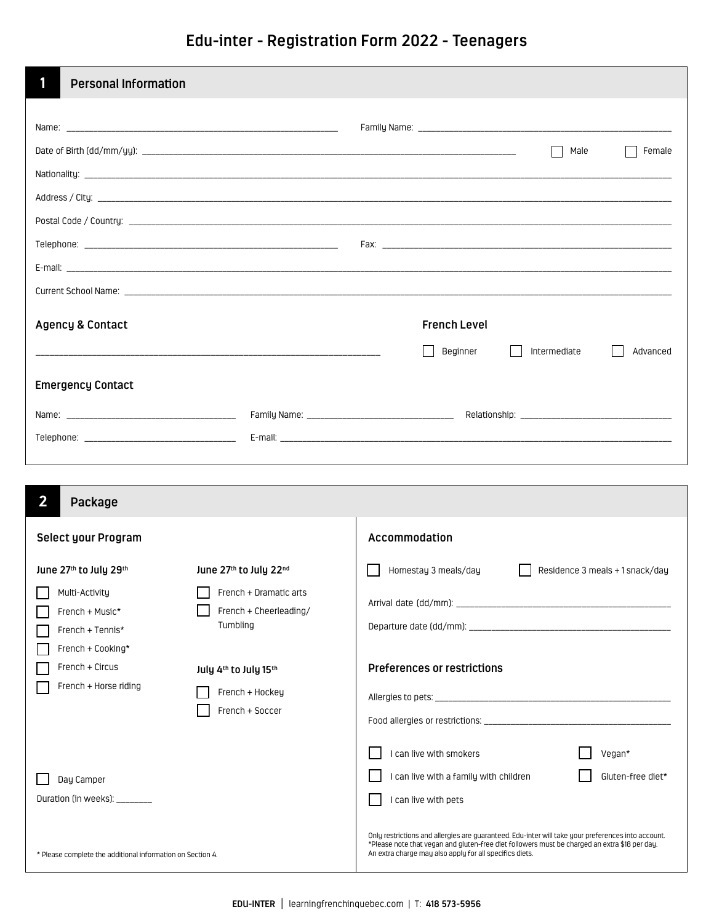**Edu-inter - Registration Form 2022 - Teenagers**

| 1<br><b>Personal Information</b>                           |                        |                                                                                                                                                          |  |  |
|------------------------------------------------------------|------------------------|----------------------------------------------------------------------------------------------------------------------------------------------------------|--|--|
|                                                            |                        |                                                                                                                                                          |  |  |
|                                                            |                        |                                                                                                                                                          |  |  |
|                                                            |                        | Male<br>Female                                                                                                                                           |  |  |
|                                                            |                        |                                                                                                                                                          |  |  |
|                                                            |                        |                                                                                                                                                          |  |  |
|                                                            |                        |                                                                                                                                                          |  |  |
|                                                            |                        |                                                                                                                                                          |  |  |
|                                                            |                        |                                                                                                                                                          |  |  |
|                                                            |                        |                                                                                                                                                          |  |  |
| <b>Agency &amp; Contact</b>                                |                        | <b>French Level</b>                                                                                                                                      |  |  |
|                                                            |                        | Beginner<br>Intermediate<br>Advanced                                                                                                                     |  |  |
|                                                            |                        |                                                                                                                                                          |  |  |
| <b>Emergency Contact</b>                                   |                        |                                                                                                                                                          |  |  |
|                                                            |                        |                                                                                                                                                          |  |  |
|                                                            |                        |                                                                                                                                                          |  |  |
|                                                            |                        |                                                                                                                                                          |  |  |
|                                                            |                        |                                                                                                                                                          |  |  |
| $\overline{\mathbf{2}}$<br>Package                         |                        |                                                                                                                                                          |  |  |
| Select your Program                                        |                        | Accommodation                                                                                                                                            |  |  |
| June 27th to July 29th                                     | June 27th to July 22nd | Homestay 3 meals/day<br>Residence 3 meals +1 snack/day                                                                                                   |  |  |
| Multi-Activity                                             | French + Dramatic arts |                                                                                                                                                          |  |  |
| French + Music*                                            | French + Cheerleading/ |                                                                                                                                                          |  |  |
| French + Tennis*                                           | Tumbling               |                                                                                                                                                          |  |  |
| French + Cooking*                                          |                        |                                                                                                                                                          |  |  |
| French + Circus                                            | July 4th to July 15th  | <b>Preferences or restrictions</b>                                                                                                                       |  |  |
| French + Horse riding                                      | French + Hockey        |                                                                                                                                                          |  |  |
|                                                            | French + Soccer        |                                                                                                                                                          |  |  |
|                                                            |                        |                                                                                                                                                          |  |  |
|                                                            |                        | I can live with smokers<br>Vegan*                                                                                                                        |  |  |
| Day Camper                                                 |                        | I can live with a family with children<br>Gluten-free diet*                                                                                              |  |  |
| Duration (in weeks): _______                               |                        | I can live with pets                                                                                                                                     |  |  |
|                                                            |                        | Only restrictions and allergies are guaranteed. Edu-inter will take your preferences into account.                                                       |  |  |
| * Please complete the additional information on Section 4. |                        | *Please note that vegan and gluten-free diet followers must be charged an extra \$18 per day.<br>An extra charge may also apply for all specifics diets. |  |  |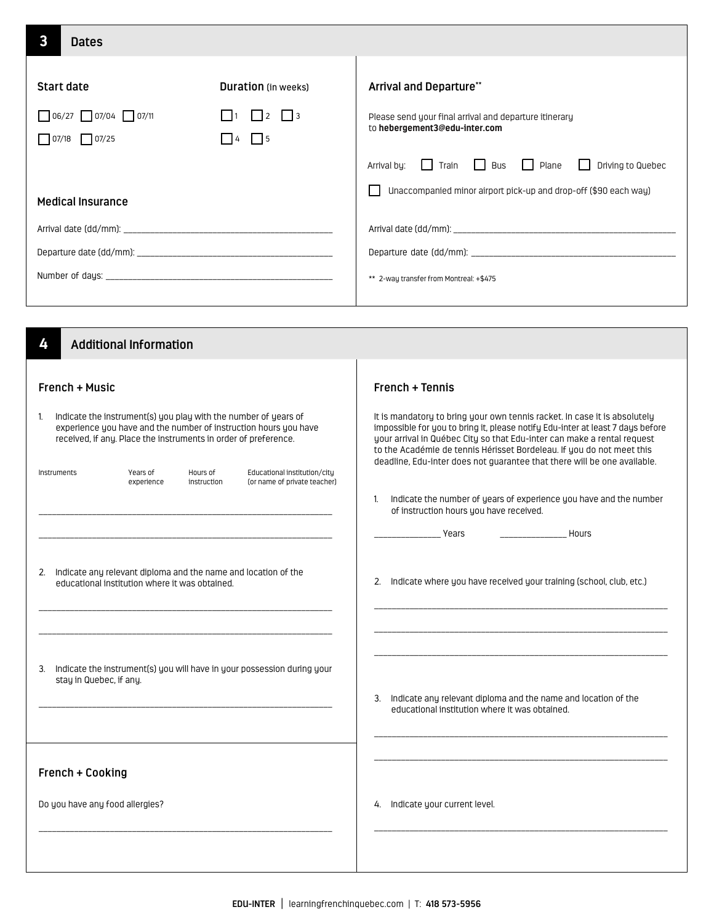| $\mathbf{3}$<br><b>Dates</b>                                                                                                                                                                                                                                                                                                                                                                                                                                                                                        |                                                                                |                                                                                                                                                                                                                                                                                                                                                                                                                                                                                                                                                                                                                                                                         |
|---------------------------------------------------------------------------------------------------------------------------------------------------------------------------------------------------------------------------------------------------------------------------------------------------------------------------------------------------------------------------------------------------------------------------------------------------------------------------------------------------------------------|--------------------------------------------------------------------------------|-------------------------------------------------------------------------------------------------------------------------------------------------------------------------------------------------------------------------------------------------------------------------------------------------------------------------------------------------------------------------------------------------------------------------------------------------------------------------------------------------------------------------------------------------------------------------------------------------------------------------------------------------------------------------|
| <b>Start date</b><br>$\Box$ 06/27 $\Box$ 07/04 $\Box$ 07/11<br>$\sqrt{07/18}$ $\sqrt{07/25}$<br><b>Medical Insurance</b>                                                                                                                                                                                                                                                                                                                                                                                            | <b>Duration</b> (in weeks)<br>$\Box$ 2 $\Box$ 3<br>  11<br>$\Box$<br>$\vert$ 4 | <b>Arrival and Departure**</b><br>Please send your final arrival and departure itinerary<br>to hebergement3@edu-inter.com<br>$\Box$ Bus<br>Train<br>$\vert \vert$ Plane<br>Driving to Quebec<br>Arrival by:<br>$\perp$<br>$\blacksquare$<br>Unaccompanied minor airport pick-up and drop-off (\$90 each way)<br>** 2-way transfer from Montreal: +\$475                                                                                                                                                                                                                                                                                                                 |
| 4<br><b>Additional Information</b>                                                                                                                                                                                                                                                                                                                                                                                                                                                                                  |                                                                                |                                                                                                                                                                                                                                                                                                                                                                                                                                                                                                                                                                                                                                                                         |
| French + Music<br>Indicate the instrument(s) you play with the number of years of<br>1.<br>experience you have and the number of instruction hours you have<br>received, if any. Place the instruments in order of preference.<br>Years of<br>Hours of<br>Instruments<br>experience<br>2. Indicate any relevant diploma and the name and location of the<br>educational institution where it was obtained.<br>3. Indicate the instrument(s) you will have in your possession during your<br>stay in Quebec, if any. | Educational institution/city<br>(or name of private teacher)<br>instruction    | French + Tennis<br>It is mandatory to bring your own tennis racket. In case it is absolutely<br>impossible for you to bring it, please notify Edu-inter at least 7 days before<br>your arrival in Québec City so that Edu-inter can make a rental request<br>to the Académie de tennis Hérisset Bordeleau. If you do not meet this<br>deadline, Edu-inter does not guarantee that there will be one available.<br>Indicate the number of years of experience you have and the number<br>1.<br>of instruction hours you have received.<br><b>Example 21 Years</b><br><b>Example 2018</b> Hours<br>2. Indicate where you have received your training (school, club, etc.) |
| French + Cooking<br>Do you have any food allergies?                                                                                                                                                                                                                                                                                                                                                                                                                                                                 |                                                                                | 3. Indicate any relevant diploma and the name and location of the<br>educational institution where it was obtained.<br>4. Indicate your current level.                                                                                                                                                                                                                                                                                                                                                                                                                                                                                                                  |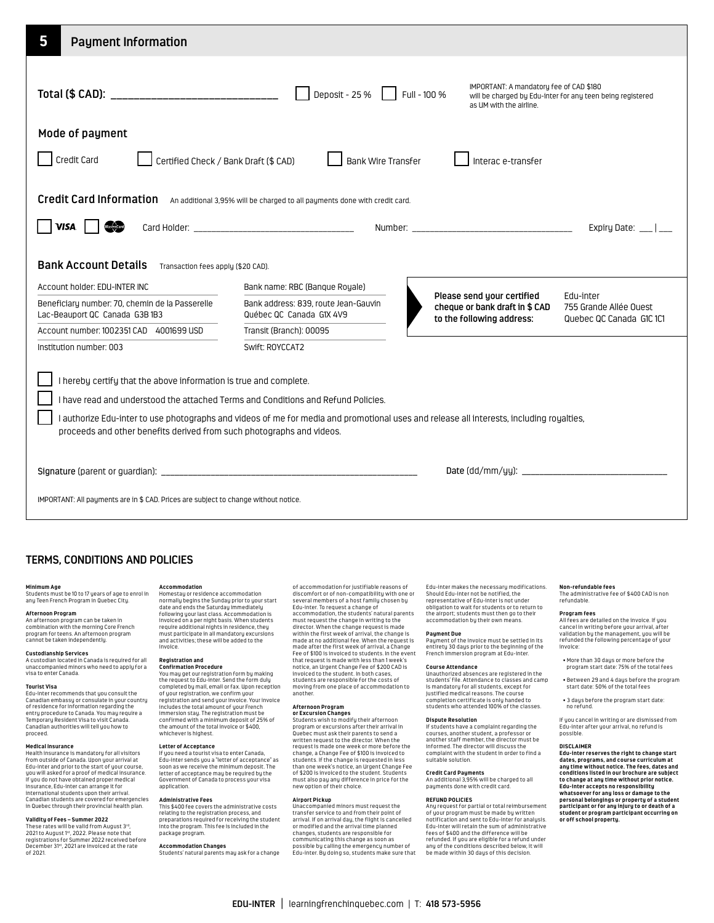| 5<br><b>Payment Information</b>                                                                                                                                                                                                                                                                                                                                                                                           |                                                                                                                               |                                                                                                                                                              |  |  |  |
|---------------------------------------------------------------------------------------------------------------------------------------------------------------------------------------------------------------------------------------------------------------------------------------------------------------------------------------------------------------------------------------------------------------------------|-------------------------------------------------------------------------------------------------------------------------------|--------------------------------------------------------------------------------------------------------------------------------------------------------------|--|--|--|
| IMPORTANT: A mandatory fee of CAD \$180<br>Deposit - 25 %<br>Full - 100 %<br>will be charged by Edu-inter for any teen being registered<br>as UM with the airline.                                                                                                                                                                                                                                                        |                                                                                                                               |                                                                                                                                                              |  |  |  |
| Mode of payment<br>Credit Card<br>Certified Check / Bank Draft (\$ CAD)<br><b>Bank Wire Transfer</b><br>Interac e-transfer                                                                                                                                                                                                                                                                                                |                                                                                                                               |                                                                                                                                                              |  |  |  |
| <b>Credit Card Information</b><br><b>VISA</b><br><b>Bank Account Details</b><br>Transaction fees apply (\$20 CAD).                                                                                                                                                                                                                                                                                                        | An additional 3,95% will be charged to all payments done with credit card.                                                    | Expiry Date: $\frac{1}{1}$                                                                                                                                   |  |  |  |
| Account holder: EDU-INTER INC<br>Beneficiary number: 70, chemin de la Passerelle<br>Lac-Beauport QC Canada G3B1B3<br>Account number: 1002351 CAD 4001699 USD                                                                                                                                                                                                                                                              | Bank name: RBC (Banque Royale)<br>Bank address: 839, route Jean-Gauvin<br>Québec QC Canada G1X 4V9<br>Transit (Branch): 00095 | Please send your certified<br>Edu-inter<br>cheque or bank draft in \$ CAD<br>755 Grande Allée Ouest<br>to the following address:<br>Quebec QC Canada G1C 1C1 |  |  |  |
| Institution number: 003<br>Swift: ROYCCAT2<br>I hereby certify that the above information is true and complete.<br>I have read and understood the attached Terms and Conditions and Refund Policies.<br>l authorize Edu-inter to use photographs and videos of me for media and promotional uses and release all interests, including royalties,<br>proceeds and other benefits derived from such photographs and videos. |                                                                                                                               |                                                                                                                                                              |  |  |  |
| IMPORTANT: All payments are in \$ CAD. Prices are subject to change without notice.                                                                                                                                                                                                                                                                                                                                       |                                                                                                                               |                                                                                                                                                              |  |  |  |

# **TERMS, CONDITIONS AND POLICIES**

**Minimum Age**<br>Students must be 10 to 17 years of age to enrol in<br>any Teen French Program in Quebec City.

### **Afternoon Program Afternoon Program**

**Custodianship Services**

visa to enter Canada. **Tourist Visa**

proceed.

**Medical Insurance**

An afternoon program can be taken in combination with the morning Core French program for teens. An afternoon program cannot be taken independently. program for teens. An afternoon program<br>**Custodianship Services**<br>A custodian located in Canada is required for all<br>A custodian located in Canada is required for all<br>unaccompanied minors who need to apply for a<br>**Tourist Vis** 

Edu-inter recommends that you consult the Canadian embassy or consulate in your country of residence for information regarding the entry procedure to Canada. You may require a Temporary Resident Visa to visit Canada. Canadian authorities will tell you how to how to

**Medical Insurance**<br>Health insurance is mandatory for all visitors<br>from outside of Canada. Upon your arrival at<br>Edu-inter and prior to the start of your course, you will asked for a proof of medical insurance. If you do not have obtained proper medical insurance, Edu-inter can arrange it for international students upon their arrival. Canadian students are covered for emergencies in Quebec through their provincial health plan.

Edu-inter and prior to the start of your course,

**Validity of Fees – Summer 2022**<br>These rates will be valid from August 3<sup>,α</sup>,<br>2021 to August 1<sup>%</sup>, 2022. Please note that<br>registrations for Summer 2022 received before<br>December 31<sup>%</sup>, 2021 are invoiced at the rate<br>of 2021.

### A custodian located in Canada is required for all unaccompanied minors who need to apply for a invoice. **Registration and**

**Accommodation**

**Confirmation Procedure**<br>You may get our registration form by making<br>the request to Edu-inter. Send the form duly<br>completed by mail, email or fax. Upon reception of your registration, we confirm your registration and send your invoice. Your invoice includes the total amount of your French immersion stay. The registration must be confirmed with a minimum deposit of 25% of the amount of the total invoice or \$400, whichever is highest.

Homestay or residence accommodation normally begins the Sunday prior to your start date and ends the Saturday immediately<br>following your last class. Accommodation is<br>invoiced on a per night basis. When students<br>require additional nights in residence, they<br>must participate in all mandatory excursions<br>and

## **Letter of Acceptance**

If you need a tourist visa to enter Canada, Edu-inter sends you a "letter of acceptance" as soon as we receive the minimum deposit. The letter of acceptance may be required by the Government of Canada to process your visa application.

## **Administrative Fees**

This \$400 fee covers the administrative costs relating to the registration process, and preparations required for receiving the student into the program. This fee is included in the package program.

**Accommodation Changes** Students' natural parents may ask for a change

of accommodation for justifiable reasons of discomfort or of non-compatibility with one or several members of a host family chosen by Edu-inter. To request a change of accommodation, the students' natural parents must request the change in writing to the director. When the change request is made within the first week of arrival, the change is made at no additional fee. When the request is made after the first week of arrival, a Change Fee of \$100 is invoiced to students. In the event that request is made with less than 1 week's notice, an Urgent Change Fee of \$200 CAD is invoiced to the student. In both cases, students are responsible for the costs of moving from one place of accommodation to another.

**Afternoon Program<br><b>or Excursion Changes**<br>Students wish to modify their afternoon<br>program or excursions after their arrival in Quebec must ask their parents to send a written request to the director. When the request is made one week or more before the change, a Change Fee of \$100 is invoiced to students. If the change is requested in less than one week's notice, an Urgent Change Fee of \$200 is invoiced to the student. Students must also pay any difference in price for the new option of their choice.

**Airport Pickup** Unaccompanied minors must request the transfer service to and from their point of arrival. If on arrival day, the flight is cancelled or modified and the arrival time planned changes, students are responsible for communicating this change as soon as possible by calling the emergency number of Edu-inter. By doing so, students make sure that Edu-inter makes the necessary modifications. Should Edu-inter not be notified, the representative of Edu-inter is not under obligation to wait for students or to return to the airport; students must then go to their<br>accommodation but heir own means accommodation by their own means.

### **Payment Due**

Payment of the invoice must be settled in its entirety 30 days prior to the beginning of the French immersion program at Edu-inter.

### **Course Attendance**

Unauthorized absences are registered in the students' file. Attendance to classes and camp is mandatory for all students, except for justified medical reasons. The course completion certificate is only handed to students who attended 100% of the classes.

### **Dispute Resolution**

If students have a complaint regarding the courses, another student, a professor or another staff member, the director must be informed. The director will discuss the complaint with the student in order to find a suitable solution.

An additional 3,95% will be charged to all

# **Credit Card Payments** payments done with credit card.

**REFUND POLICIES** Any request for partial or total reimbursement of your program must be made by written notification and sent to Edu-inter for analysis. Edu-inter will retain the sum of administrative fees of \$400 and the difference will be refunded. If you are eligible for a refund under any of the conditions described below, it will be made within 30 days of this decision.

**Non-refundable fees** The administrative fee of \$400 CAD is non refundable.

**Program fees**<br>All fees are detailed on the invoice If unu All fees are detailed on the invoice. If you<br>cancel in writing before your arrival, after<br>validation by the management, you will be<br>refunded the following percentage of your invoice:

- More than 30 days or more before the program start date: 75% of the total fees
- Between 29 and 4 days before the program start date: 50% of the total fees
- 3 days before the program start date: no refund.

If you cancel in writing or are dismissed from Edu-inter after your arrival, no refund is possible.

### **DISCLAIMER**

**Edu-inter reserves the right to change start dates, programs, and course curriculum at any time without notice. The fees, dates and conditions listed in our brochure are subject to change at any time without prior notice. Edu-inter accepts no responsibility whatsoever for any loss or damage to the personal belongings or property of a student participant or for any injury to or death of a student or program participant occurring on or off school property.**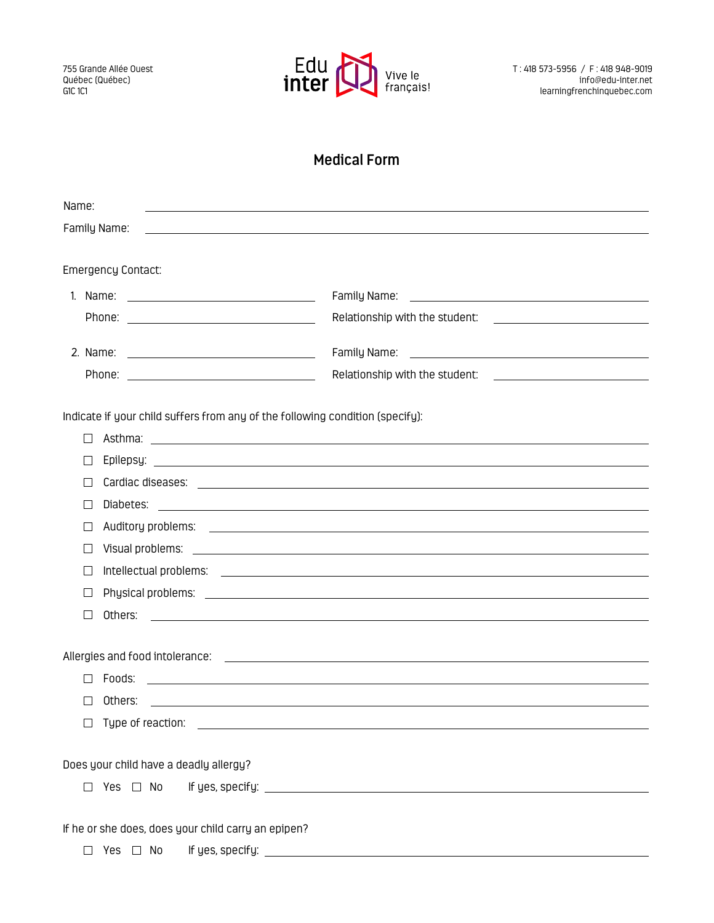

# **Medical Form**

| Name:                                                                                                                                      |                                                                                                                      |  |  |
|--------------------------------------------------------------------------------------------------------------------------------------------|----------------------------------------------------------------------------------------------------------------------|--|--|
| Family Name:<br><u> 1989 - Johann Barbara, marka a shekara tsa 1989 - An tsa 1989 - An tsa 1989 - An tsa 1989 - An tsa 1989 - An</u>       |                                                                                                                      |  |  |
|                                                                                                                                            |                                                                                                                      |  |  |
| <b>Emergency Contact:</b>                                                                                                                  |                                                                                                                      |  |  |
|                                                                                                                                            |                                                                                                                      |  |  |
|                                                                                                                                            |                                                                                                                      |  |  |
|                                                                                                                                            |                                                                                                                      |  |  |
|                                                                                                                                            |                                                                                                                      |  |  |
|                                                                                                                                            |                                                                                                                      |  |  |
| Indicate if your child suffers from any of the following condition (specify):                                                              |                                                                                                                      |  |  |
| П                                                                                                                                          |                                                                                                                      |  |  |
| П                                                                                                                                          |                                                                                                                      |  |  |
| $\Box$                                                                                                                                     |                                                                                                                      |  |  |
| $\perp$                                                                                                                                    |                                                                                                                      |  |  |
| $\Box$                                                                                                                                     |                                                                                                                      |  |  |
| $\perp$                                                                                                                                    |                                                                                                                      |  |  |
| П                                                                                                                                          |                                                                                                                      |  |  |
| $\perp$                                                                                                                                    |                                                                                                                      |  |  |
| $\perp$<br>Others:<br><u> 1989 - Johann Stoff, amerikansk politiker (* 1908)</u>                                                           |                                                                                                                      |  |  |
|                                                                                                                                            |                                                                                                                      |  |  |
|                                                                                                                                            |                                                                                                                      |  |  |
| Foods:                                                                                                                                     | <u> Alexandria de la contrada de la contrada de la contrada de la contrada de la contrada de la contrada de la c</u> |  |  |
| Others:<br>ΙI                                                                                                                              | and the control of the control of the control of the control of the control of the control of the control of the     |  |  |
| Type of reaction:<br><u> 1989 - Johann Barbara, martin amerikan basal dan berasal dalam basal dalam basal dalam basal dalam basal dala</u> |                                                                                                                      |  |  |
|                                                                                                                                            |                                                                                                                      |  |  |
| Does your child have a deadly allergy?                                                                                                     |                                                                                                                      |  |  |
| Yes □ No<br>$\Box$                                                                                                                         |                                                                                                                      |  |  |
|                                                                                                                                            |                                                                                                                      |  |  |
| If he or she does, does your child carry an epipen?                                                                                        |                                                                                                                      |  |  |
| Yes □ No<br>$\Box$                                                                                                                         |                                                                                                                      |  |  |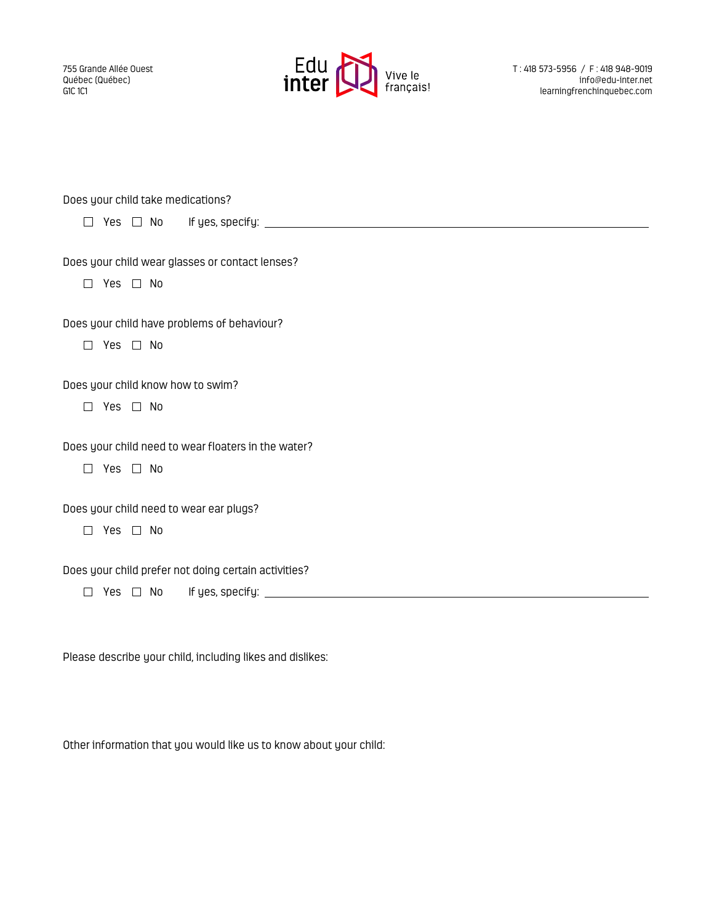755 Grande Allée Ouest Québec (Québec) G1C 1C1



T : 418 573-5956 / F : 418 948-9019 info@edu-inter.net learningfrenchinquebec.com

| Does your child take medications?                                          |  |  |
|----------------------------------------------------------------------------|--|--|
|                                                                            |  |  |
| Does your child wear glasses or contact lenses?<br>Yes $\Box$ No<br>$\Box$ |  |  |
| Does your child have problems of behaviour?                                |  |  |
| Yes □ No<br>┑                                                              |  |  |
| Does your child know how to swim?                                          |  |  |
| $\Box$ Yes $\Box$ No                                                       |  |  |
| Does your child need to wear floaters in the water?                        |  |  |
| Yes $\Box$ No<br>$\Box$                                                    |  |  |
| Does your child need to wear ear plugs?                                    |  |  |
| Yes $\Box$ No<br>$\Box$                                                    |  |  |
| Does your child prefer not doing certain activities?                       |  |  |
| $\Box$ Yes $\Box$ No                                                       |  |  |
|                                                                            |  |  |

Please describe your child, including likes and dislikes:

Other information that you would like us to know about your child: